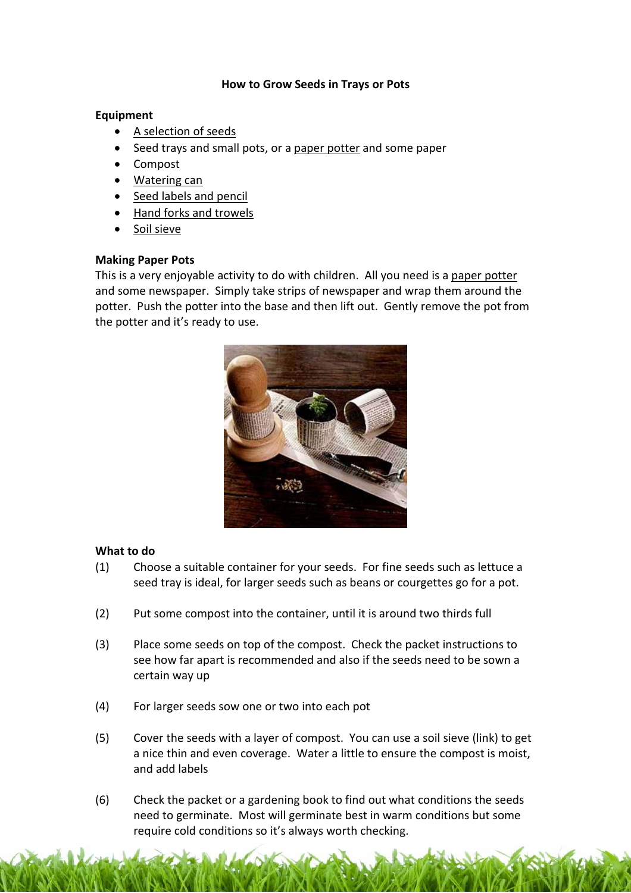## How to Grow Seeds in Trays or Pots

## **Equipment**

- [A selection of seeds](http://www.recycleworks.co.uk/kids-xmas-vegetable-seed-selection-c-298-p-1-pr-16176.html)
- Seed trays and small pots, or a paper potter and some paper
- Compost
- [Watering can](http://www.recycleworks.co.uk/non-spill-watering-can-c-298-p-4-pr-16173.html)
- [Seed labels and pencil](http://www.recycleworks.co.uk/blackboard-labels-white-marker-c-298-p-2-pr-16324.html)
- [Hand forks and trowels](http://www.recycleworks.co.uk/sheds-and-gardening-equipment-c-301.html)
- [Soil sieve](http://www.recycleworks.co.uk/plastic-soil-sieve-c-249-p-1-pr-16280.html)

## Making Paper Pots

This is a very enjoyable activity to do with children. All you need is a paper potter and some newspaper. Simply take strips of newspaper and wrap them around the potter. Push the potter into the base and then lift out. Gently remove the pot from the potter and it's ready to use.



## What to do

- (1) Choose a suitable container for your seeds. For fine seeds such as lettuce a seed tray is ideal, for larger seeds such as beans or courgettes go for a pot.
- (2) Put some compost into the container, until it is around two thirds full
- (3) Place some seeds on top of the compost. Check the packet instructions to see how far apart is recommended and also if the seeds need to be sown a certain way up
- (4) For larger seeds sow one or two into each pot
- (5) Cover the seeds with a layer of compost. You can use a soil sieve (link) to get a nice thin and even coverage. Water a little to ensure the compost is moist, and add labels
- (6) Check the packet or a gardening book to find out what conditions the seeds need to germinate. Most will germinate best in warm conditions but some require cold conditions so it's always worth checking.